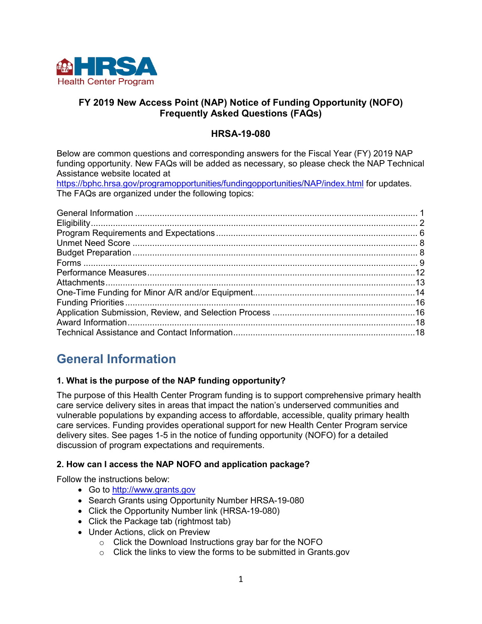

## **FY 2019 New Access Point (NAP) Notice of Funding Opportunity (NOFO) Frequently Asked Questions (FAQs)**

## **HRSA-19-080**

Below are common questions and corresponding answers for the Fiscal Year (FY) 2019 NAP funding opportunity. New FAQs will be added as necessary, so please check the NAP Technical Assistance website located at

<https://bphc.hrsa.gov/programopportunities/fundingopportunities/NAP/index.html> for updates. The FAQs are organized under the following topics:

## <span id="page-0-0"></span>**General Information**

#### **1. What is the purpose of the NAP funding opportunity?**

The purpose of this Health Center Program funding is to support comprehensive primary health care service delivery sites in areas that impact the nation's underserved communities and vulnerable populations by expanding access to affordable, accessible, quality primary health care services. Funding provides operational support for new Health Center Program service delivery sites. See pages 1-5 in the notice of funding opportunity (NOFO) for a detailed discussion of program expectations and requirements.

#### **2. How can I access the NAP NOFO and application package?**

Follow the instructions below:

- Go to [http://www.grants.gov](http://www.grants.gov/)
- Search Grants using Opportunity Number HRSA-19-080
- Click the Opportunity Number link (HRSA-19-080)
- Click the Package tab (rightmost tab)
- Under Actions, click on Preview
	- Click the Download Instructions gray bar for the NOFO
	- Click the links to view the forms to be submitted in Grants.gov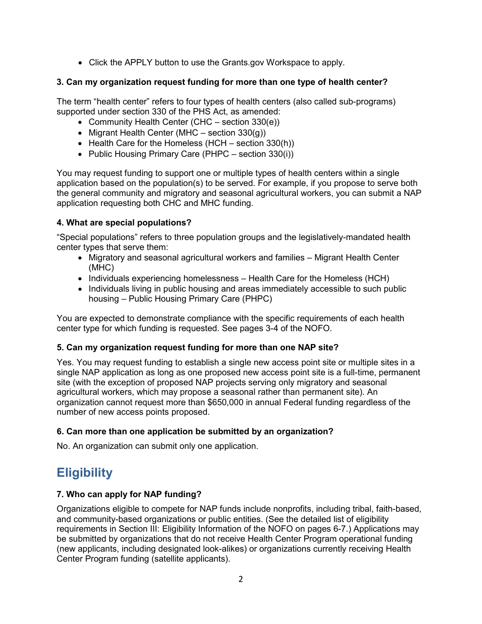• Click the APPLY button to use the Grants.gov Workspace to apply.

## **3. Can my organization request funding for more than one type of health center?**

The term "health center" refers to four types of health centers (also called sub-programs) supported under section 330 of the PHS Act, as amended:

- Community Health Center (CHC section 330(e))
- Migrant Health Center (MHC section  $330(q)$ )
- Health Care for the Homeless (HCH section 330(h))
- Public Housing Primary Care (PHPC section 330(i))

You may request funding to support one or multiple types of health centers within a single application based on the population(s) to be served. For example, if you propose to serve both the general community and migratory and seasonal agricultural workers, you can submit a NAP application requesting both CHC and MHC funding.

## **4. What are special populations?**

"Special populations" refers to three population groups and the legislatively-mandated health center types that serve them:

- Migratory and seasonal agricultural workers and families Migrant Health Center (MHC)
- Individuals experiencing homelessness Health Care for the Homeless (HCH)
- Individuals living in public housing and areas immediately accessible to such public housing – Public Housing Primary Care (PHPC)

You are expected to demonstrate compliance with the specific requirements of each health center type for which funding is requested. See pages 3-4 of the NOFO.

#### **5. Can my organization request funding for more than one NAP site?**

Yes. You may request funding to establish a single new access point site or multiple sites in a single NAP application as long as one proposed new access point site is a full-time, permanent site (with the exception of proposed NAP projects serving only migratory and seasonal agricultural workers, which may propose a seasonal rather than permanent site). An organization cannot request more than \$650,000 in annual Federal funding regardless of the number of new access points proposed.

## **6. Can more than one application be submitted by an organization?**

No. An organization can submit only one application.

# <span id="page-1-0"></span>**Eligibility**

#### **7. Who can apply for NAP funding?**

Organizations eligible to compete for NAP funds include nonprofits, including tribal, faith-based, and community-based organizations or public entities. (See the detailed list of eligibility requirements in Section III: Eligibility Information of the NOFO on pages 6-7.) Applications may be submitted by organizations that do not receive Health Center Program operational funding (new applicants, including designated look-alikes) or organizations currently receiving Health Center Program funding (satellite applicants).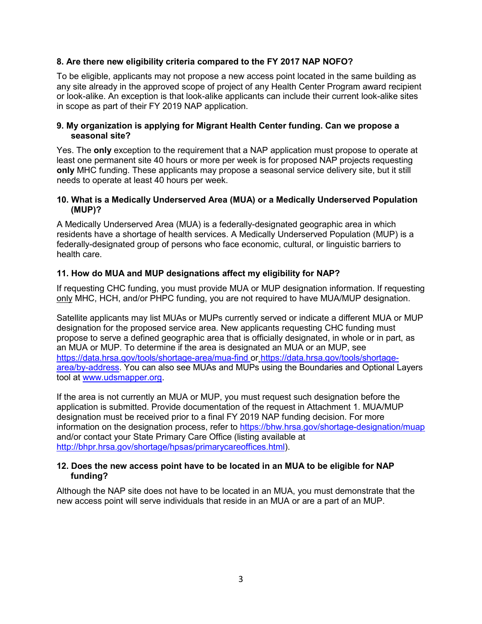## **8. Are there new eligibility criteria compared to the FY 2017 NAP NOFO?**

To be eligible, applicants may not propose a new access point located in the same building as any site already in the approved scope of project of any Health Center Program award recipient or look-alike. An exception is that look-alike applicants can include their current look-alike sites in scope as part of their FY 2019 NAP application.

#### **9. My organization is applying for Migrant Health Center funding. Can we propose a seasonal site?**

Yes. The **only** exception to the requirement that a NAP application must propose to operate at least one permanent site 40 hours or more per week is for proposed NAP projects requesting **only** MHC funding. These applicants may propose a seasonal service delivery site, but it still needs to operate at least 40 hours per week.

#### **10. What is a Medically Underserved Area (MUA) or a Medically Underserved Population (MUP)?**

A Medically Underserved Area (MUA) is a federally-designated geographic area in which residents have a shortage of health services. A Medically Underserved Population (MUP) is a federally-designated group of persons who face economic, cultural, or linguistic barriers to health care.

#### **11. How do MUA and MUP designations affect my eligibility for NAP?**

If requesting CHC funding, you must provide MUA or MUP designation information. If requesting only MHC, HCH, and/or PHPC funding, you are not required to have MUA/MUP designation.

Satellite applicants may list MUAs or MUPs currently served or indicate a different MUA or MUP designation for the proposed service area. New applicants requesting CHC funding must propose to serve a defined geographic area that is officially designated, in whole or in part, as an MUA or MUP. To determine if the area is designated an MUA or an MUP, see <https://data.hrsa.gov/tools/shortage-area/mua-find> or [https://data.hrsa.gov/tools/shortage](https://data.hrsa.gov/tools/shortage-area/by-address)[area/by-address.](https://data.hrsa.gov/tools/shortage-area/by-address) You can also see MUAs and MUPs using the Boundaries and Optional Layers tool at [www.udsmapper.org.](http://bphc.hrsa.gov/programopportunities/fundingopportunities/NAP)

If the area is not currently an MUA or MUP, you must request such designation before the application is submitted. Provide documentation of the request in Attachment 1. MUA/MUP designation must be received prior to a final FY 2019 NAP funding decision. For more information on the designation process, refer to<https://bhw.hrsa.gov/shortage-designation/muap> and/or contact your State Primary Care Office (listing available at [http://bhpr.hrsa.gov/shortage/hpsas/primarycareoffices.html\)](http://bhpr.hrsa.gov/shortage/hpsas/primarycareoffices.html).

#### **12. Does the new access point have to be located in an MUA to be eligible for NAP funding?**

Although the NAP site does not have to be located in an MUA, you must demonstrate that the new access point will serve individuals that reside in an MUA or are a part of an MUP.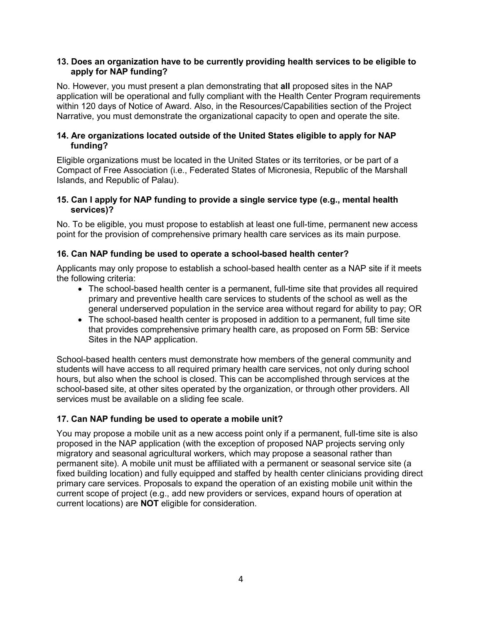#### **13. Does an organization have to be currently providing health services to be eligible to apply for NAP funding?**

No. However, you must present a plan demonstrating that **all** proposed sites in the NAP application will be operational and fully compliant with the Health Center Program requirements within 120 days of Notice of Award. Also, in the Resources/Capabilities section of the Project Narrative, you must demonstrate the organizational capacity to open and operate the site.

### **14. Are organizations located outside of the United States eligible to apply for NAP funding?**

Eligible organizations must be located in the United States or its territories, or be part of a Compact of Free Association (i.e., Federated States of Micronesia, Republic of the Marshall Islands, and Republic of Palau).

#### **15. Can I apply for NAP funding to provide a single service type (e.g., mental health services)?**

No. To be eligible, you must propose to establish at least one full-time, permanent new access point for the provision of comprehensive primary health care services as its main purpose.

## **16. Can NAP funding be used to operate a school-based health center?**

Applicants may only propose to establish a school-based health center as a NAP site if it meets the following criteria:

- The school-based health center is a permanent, full-time site that provides all required primary and preventive health care services to students of the school as well as the general underserved population in the service area without regard for ability to pay; OR
- The school-based health center is proposed in addition to a permanent, full time site that provides comprehensive primary health care, as proposed on Form 5B: Service Sites in the NAP application.

School-based health centers must demonstrate how members of the general community and students will have access to all required primary health care services, not only during school hours, but also when the school is closed. This can be accomplished through services at the school-based site, at other sites operated by the organization, or through other providers. All services must be available on a sliding fee scale.

## **17. Can NAP funding be used to operate a mobile unit?**

You may propose a mobile unit as a new access point only if a permanent, full-time site is also proposed in the NAP application (with the exception of proposed NAP projects serving only migratory and seasonal agricultural workers, which may propose a seasonal rather than permanent site). A mobile unit must be affiliated with a permanent or seasonal service site (a fixed building location) and fully equipped and staffed by health center clinicians providing direct primary care services. Proposals to expand the operation of an existing mobile unit within the current scope of project (e.g., add new providers or services, expand hours of operation at current locations) are **NOT** eligible for consideration.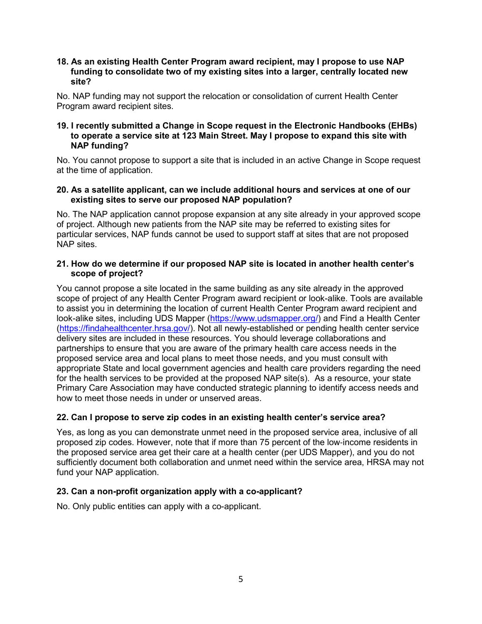#### **18. As an existing Health Center Program award recipient, may I propose to use NAP funding to consolidate two of my existing sites into a larger, centrally located new site?**

No. NAP funding may not support the relocation or consolidation of current Health Center Program award recipient sites.

#### **19. I recently submitted a Change in Scope request in the Electronic Handbooks (EHBs) to operate a service site at 123 Main Street. May I propose to expand this site with NAP funding?**

No. You cannot propose to support a site that is included in an active Change in Scope request at the time of application.

#### **20. As a satellite applicant, can we include additional hours and services at one of our existing sites to serve our proposed NAP population?**

No. The NAP application cannot propose expansion at any site already in your approved scope of project. Although new patients from the NAP site may be referred to existing sites for particular services, NAP funds cannot be used to support staff at sites that are not proposed NAP sites.

#### **21. How do we determine if our proposed NAP site is located in another health center's scope of project?**

You cannot propose a site located in the same building as any site already in the approved scope of project of any Health Center Program award recipient or look-alike. Tools are available to assist you in determining the location of current Health Center Program award recipient and look-alike sites, including UDS Mapper [\(https://www.udsmapper.org/\)](https://www.udsmapper.org/) and Find a Health Center [\(https://findahealthcenter.hrsa.gov/\)](https://findahealthcenter.hrsa.gov/). Not all newly-established or pending health center service delivery sites are included in these resources. You should leverage collaborations and partnerships to ensure that you are aware of the primary health care access needs in the proposed service area and local plans to meet those needs, and you must consult with appropriate State and local government agencies and health care providers regarding the need for the health services to be provided at the proposed NAP site(s). As a resource, your state Primary Care Association may have conducted strategic planning to identify access needs and how to meet those needs in under or unserved areas.

#### **22. Can I propose to serve zip codes in an existing health center's service area?**

Yes, as long as you can demonstrate unmet need in the proposed service area, inclusive of all proposed zip codes. However, note that if more than 75 percent of the low‐income residents in the proposed service area get their care at a health center (per UDS Mapper), and you do not sufficiently document both collaboration and unmet need within the service area, HRSA may not fund your NAP application.

#### **23. Can a non-profit organization apply with a co-applicant?**

No. Only public entities can apply with a co-applicant.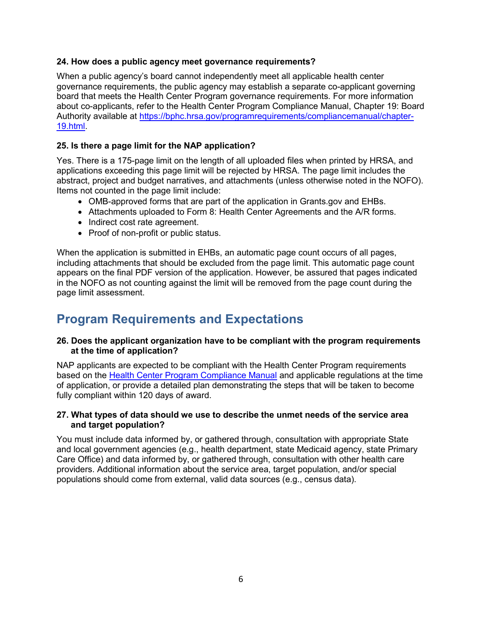#### **24. How does a public agency meet governance requirements?**

When a public agency's board cannot independently meet all applicable health center governance requirements, the public agency may establish a separate co-applicant governing board that meets the Health Center Program governance requirements. For more information about co-applicants, refer to the Health Center Program Compliance Manual, Chapter 19: Board Authority available at [https://bphc.hrsa.gov/programrequirements/compliancemanual/chapter-](https://bphc.hrsa.gov/programrequirements/compliancemanual/chapter-19.html)[19.html.](https://bphc.hrsa.gov/programrequirements/compliancemanual/chapter-19.html)

### **25. Is there a page limit for the NAP application?**

Yes. There is a 175-page limit on the length of all uploaded files when printed by HRSA, and applications exceeding this page limit will be rejected by HRSA. The page limit includes the abstract, project and budget narratives, and attachments (unless otherwise noted in the NOFO). Items not counted in the page limit include:

- OMB-approved forms that are part of the application in Grants.gov and EHBs.
- Attachments uploaded to Form 8: Health Center Agreements and the A/R forms.
- Indirect cost rate agreement.
- Proof of non-profit or public status.

When the application is submitted in EHBs, an automatic page count occurs of all pages, including attachments that should be excluded from the page limit. This automatic page count appears on the final PDF version of the application. However, be assured that pages indicated in the NOFO as not counting against the limit will be removed from the page count during the page limit assessment.

# <span id="page-5-0"></span>**Program Requirements and Expectations**

#### **26. Does the applicant organization have to be compliant with the program requirements at the time of application?**

NAP applicants are expected to be compliant with the Health Center Program requirements based on the [Health Center Program Compliance Manual](https://bphc.hrsa.gov/programrequirements/compliancemanual/introduction.html) and applicable regulations at the time of application, or provide a detailed plan demonstrating the steps that will be taken to become fully compliant within 120 days of award.

#### **27. What types of data should we use to describe the unmet needs of the service area and target population?**

You must include data informed by, or gathered through, consultation with appropriate State and local government agencies (e.g., health department, state Medicaid agency, state Primary Care Office) and data informed by, or gathered through, consultation with other health care providers. Additional information about the service area, target population, and/or special populations should come from external, valid data sources (e.g., census data).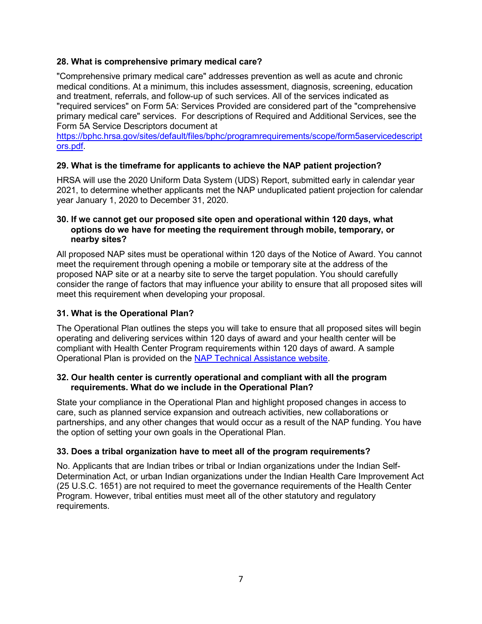#### **28. What is comprehensive primary medical care?**

"Comprehensive primary medical care" addresses prevention as well as acute and chronic medical conditions. At a minimum, this includes assessment, diagnosis, screening, education and treatment, referrals, and follow-up of such services. All of the services indicated as "required services" on Form 5A: Services Provided are considered part of the "comprehensive primary medical care" services. For descriptions of Required and Additional Services, see the Form 5A Service Descriptors document at

[https://bphc.hrsa.gov/sites/default/files/bphc/programrequirements/scope/form5aservicedescript](https://bphc.hrsa.gov/sites/default/files/bphc/programrequirements/scope/form5aservicedescriptors.pdf) [ors.pdf.](https://bphc.hrsa.gov/sites/default/files/bphc/programrequirements/scope/form5aservicedescriptors.pdf)

## **29. What is the timeframe for applicants to achieve the NAP patient projection?**

HRSA will use the 2020 Uniform Data System (UDS) Report, submitted early in calendar year 2021, to determine whether applicants met the NAP unduplicated patient projection for calendar year January 1, 2020 to December 31, 2020.

#### **30. If we cannot get our proposed site open and operational within 120 days, what options do we have for meeting the requirement through mobile, temporary, or nearby sites?**

All proposed NAP sites must be operational within 120 days of the Notice of Award. You cannot meet the requirement through opening a mobile or temporary site at the address of the proposed NAP site or at a nearby site to serve the target population. You should carefully consider the range of factors that may influence your ability to ensure that all proposed sites will meet this requirement when developing your proposal.

## **31. What is the Operational Plan?**

The Operational Plan outlines the steps you will take to ensure that all proposed sites will begin operating and delivering services within 120 days of award and your health center will be compliant with Health Center Program requirements within 120 days of award. A sample Operational Plan is provided on the [NAP Technical Assistance website.](http://bphc.hrsa.gov/programopportunities/fundingopportunities/NAP/index.html)

#### **32. Our health center is currently operational and compliant with all the program requirements. What do we include in the Operational Plan?**

State your compliance in the Operational Plan and highlight proposed changes in access to care, such as planned service expansion and outreach activities, new collaborations or partnerships, and any other changes that would occur as a result of the NAP funding. You have the option of setting your own goals in the Operational Plan.

#### **33. Does a tribal organization have to meet all of the program requirements?**

No. Applicants that are Indian tribes or tribal or Indian organizations under the Indian Self-Determination Act, or urban Indian organizations under the Indian Health Care Improvement Act (25 U.S.C. 1651) are not required to meet the governance requirements of the Health Center Program. However, tribal entities must meet all of the other statutory and regulatory requirements.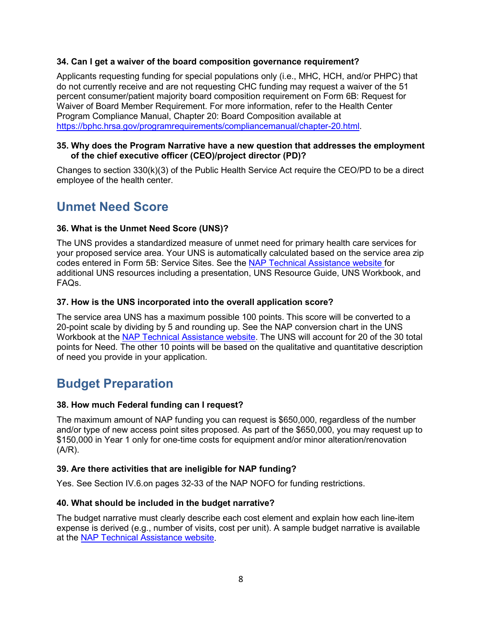## **34. Can I get a waiver of the board composition governance requirement?**

Applicants requesting funding for special populations only (i.e., MHC, HCH, and/or PHPC) that do not currently receive and are not requesting CHC funding may request a waiver of the 51 percent consumer/patient majority board composition requirement on Form 6B: Request for Waiver of Board Member Requirement. For more information, refer to the Health Center Program Compliance Manual, Chapter 20: Board Composition available at [https://bphc.hrsa.gov/programrequirements/compliancemanual/chapter-20.html.](https://bphc.hrsa.gov/programrequirements/compliancemanual/chapter-20.html)

#### **35. Why does the Program Narrative have a new question that addresses the employment of the chief executive officer (CEO)/project director (PD)?**

Changes to section 330(k)(3) of the Public Health Service Act require the CEO/PD to be a direct employee of the health center.

## <span id="page-7-0"></span>**Unmet Need Score**

#### **36. What is the Unmet Need Score (UNS)?**

The UNS provides a standardized measure of unmet need for primary health care services for your proposed service area. Your UNS is automatically calculated based on the service area zip codes entered in Form 5B: Service Sites. See the [NAP Technical Assistance website](http://bphc.hrsa.gov/programopportunities/fundingopportunities/NAP/index.html) for additional UNS resources including a presentation, UNS Resource Guide, UNS Workbook, and FAQs.

#### **37. How is the UNS incorporated into the overall application score?**

The service area UNS has a maximum possible 100 points. This score will be converted to a 20-point scale by dividing by 5 and rounding up. See the NAP conversion chart in the UNS Workbook at the [NAP Technical Assistance website.](http://bphc.hrsa.gov/programopportunities/fundingopportunities/NAP/index.html) The UNS will account for 20 of the 30 total points for Need. The other 10 points will be based on the qualitative and quantitative description of need you provide in your application.

## <span id="page-7-1"></span>**Budget Preparation**

#### **38. How much Federal funding can I request?**

The maximum amount of NAP funding you can request is \$650,000, regardless of the number and/or type of new access point sites proposed. As part of the \$650,000, you may request up to \$150,000 in Year 1 only for one-time costs for equipment and/or minor alteration/renovation (A/R).

#### **39. Are there activities that are ineligible for NAP funding?**

Yes. See Section IV.6.on pages 32-33 of the NAP NOFO for funding restrictions.

## **40. What should be included in the budget narrative?**

The budget narrative must clearly describe each cost element and explain how each line-item expense is derived (e.g., number of visits, cost per unit). A sample budget narrative is available at the [NAP Technical Assistance website.](http://bphc.hrsa.gov/programopportunities/fundingopportunities/NAP/index.html)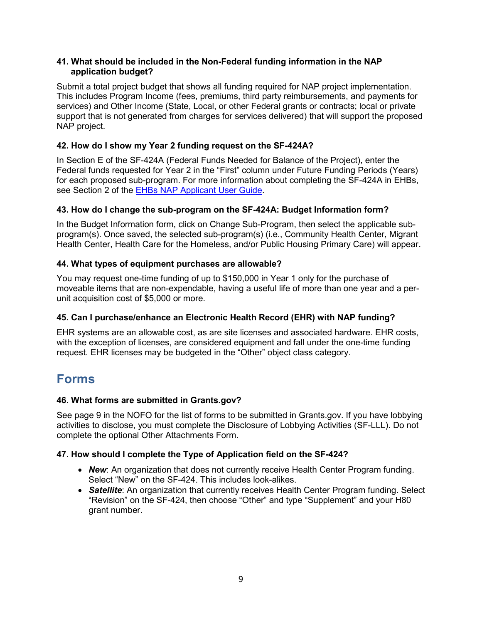#### **41. What should be included in the Non-Federal funding information in the NAP application budget?**

Submit a total project budget that shows all funding required for NAP project implementation. This includes Program Income (fees, premiums, third party reimbursements, and payments for services) and Other Income (State, Local, or other Federal grants or contracts; local or private support that is not generated from charges for services delivered) that will support the proposed NAP project.

## **42. How do I show my Year 2 funding request on the SF-424A?**

In Section E of the SF-424A (Federal Funds Needed for Balance of the Project), enter the Federal funds requested for Year 2 in the "First" column under Future Funding Periods (Years) for each proposed sub-program. For more information about completing the SF-424A in EHBs, see Section 2 of the [EHBs NAP Applicant User Guide.](https://bphc.hrsa.gov/programopportunities/fundingopportunities/NAP/fy2019-nap-user-guide_.pdf)

#### **43. How do I change the sub-program on the SF-424A: Budget Information form?**

In the Budget Information form, click on Change Sub-Program, then select the applicable subprogram(s). Once saved, the selected sub-program(s) (i.e., Community Health Center, Migrant Health Center, Health Care for the Homeless, and/or Public Housing Primary Care) will appear.

#### **44. What types of equipment purchases are allowable?**

You may request one-time funding of up to \$150,000 in Year 1 only for the purchase of moveable items that are non-expendable, having a useful life of more than one year and a perunit acquisition cost of \$5,000 or more.

#### **45. Can I purchase/enhance an Electronic Health Record (EHR) with NAP funding?**

EHR systems are an allowable cost, as are site licenses and associated hardware. EHR costs, with the exception of licenses, are considered equipment and fall under the one-time funding request. EHR licenses may be budgeted in the "Other" object class category.

## <span id="page-8-0"></span>**Forms**

#### **46. What forms are submitted in Grants.gov?**

See page 9 in the NOFO for the list of forms to be submitted in Grants.gov. If you have lobbying activities to disclose, you must complete the Disclosure of Lobbying Activities (SF-LLL). Do not complete the optional Other Attachments Form.

#### **47. How should I complete the Type of Application field on the SF-424?**

- **New:** An organization that does not currently receive Health Center Program funding. Select "New" on the SF-424. This includes look-alikes.
- **Satellite**: An organization that currently receives Health Center Program funding. Select "Revision" on the SF-424, then choose "Other" and type "Supplement" and your H80 grant number.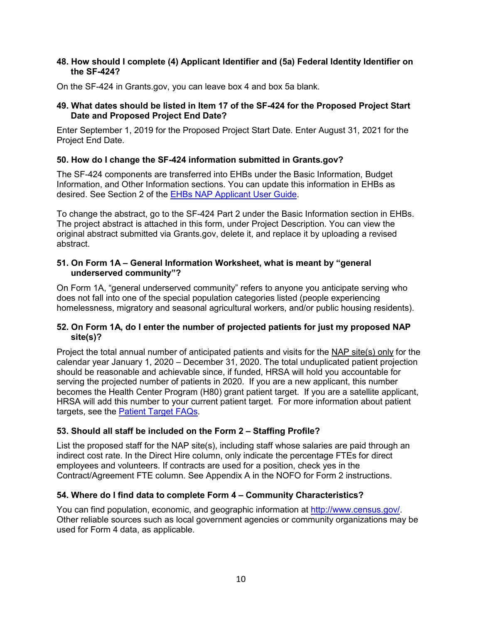#### **48. How should I complete (4) Applicant Identifier and (5a) Federal Identity Identifier on the SF-424?**

On the SF-424 in Grants.gov, you can leave box 4 and box 5a blank.

#### **49. What dates should be listed in Item 17 of the SF-424 for the Proposed Project Start Date and Proposed Project End Date?**

Enter September 1, 2019 for the Proposed Project Start Date. Enter August 31, 2021 for the Project End Date.

#### **50. How do I change the SF-424 information submitted in Grants.gov?**

The SF-424 components are transferred into EHBs under the Basic Information, Budget Information, and Other Information sections. You can update this information in EHBs as desired. See Section 2 of the EHBs [NAP Applicant User Guide.](https://bphc.hrsa.gov/programopportunities/fundingopportunities/NAP/fy2019-nap-user-guide_.pdf)

To change the abstract, go to the SF-424 Part 2 under the Basic Information section in EHBs. The project abstract is attached in this form, under Project Description. You can view the original abstract submitted via Grants.gov, delete it, and replace it by uploading a revised abstract.

#### **51. On Form 1A – General Information Worksheet, what is meant by "general underserved community"?**

On Form 1A, "general underserved community" refers to anyone you anticipate serving who does not fall into one of the special population categories listed (people experiencing homelessness, migratory and seasonal agricultural workers, and/or public housing residents).

#### **52. On Form 1A, do I enter the number of projected patients for just my proposed NAP site(s)?**

Project the total annual number of anticipated patients and visits for the NAP site(s) only for the calendar year January 1, 2020 – December 31, 2020. The total unduplicated patient projection should be reasonable and achievable since, if funded, HRSA will hold you accountable for serving the projected number of patients in 2020. If you are a new applicant, this number becomes the Health Center Program (H80) grant patient target. If you are a satellite applicant, HRSA will add this number to your current patient target. For more information about patient targets, see the **Patient Target FAQs**.

#### **53. Should all staff be included on the Form 2 – Staffing Profile?**

List the proposed staff for the NAP site(s), including staff whose salaries are paid through an indirect cost rate. In the Direct Hire column, only indicate the percentage FTEs for direct employees and volunteers. If contracts are used for a position, check yes in the Contract/Agreement FTE column. See Appendix A in the NOFO for Form 2 instructions.

#### **54. Where do I find data to complete Form 4 – Community Characteristics?**

You can find population, economic, and geographic information at [http://www.census.gov/.](https://www.census.gov/) Other reliable sources such as local government agencies or community organizations may be used for Form 4 data, as applicable.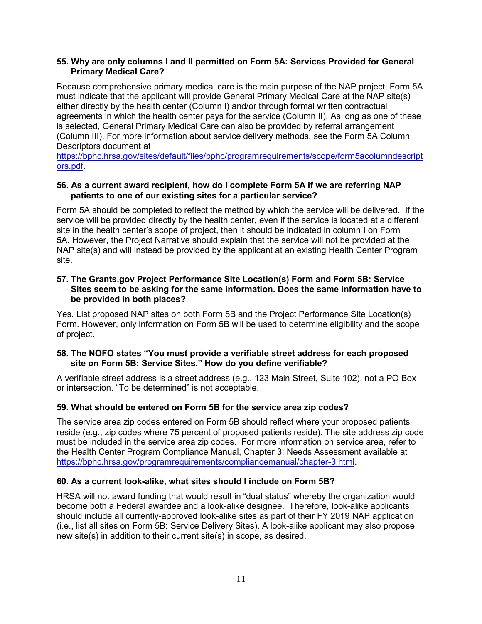#### **55. Why are only columns I and II permitted on Form 5A: Services Provided for General Primary Medical Care?**

Because comprehensive primary medical care is the main purpose of the NAP project, Form 5A must indicate that the applicant will provide General Primary Medical Care at the NAP site(s) either directly by the health center (Column I) and/or through formal written contractual agreements in which the health center pays for the service (Column II). As long as one of these is selected, General Primary Medical Care can also be provided by referral arrangement (Column III). For more information about service delivery methods, see the Form 5A Column Descriptors document at

[https://bphc.hrsa.gov/sites/default/files/bphc/programrequirements/scope/form5acolumndescript](https://bphc.hrsa.gov/sites/default/files/bphc/programrequirements/scope/form5acolumndescriptors.pdf) [ors.pdf.](https://bphc.hrsa.gov/sites/default/files/bphc/programrequirements/scope/form5acolumndescriptors.pdf)

#### **56. As a current award recipient, how do I complete Form 5A if we are referring NAP patients to one of our existing sites for a particular service?**

Form 5A should be completed to reflect the method by which the service will be delivered. If the service will be provided directly by the health center, even if the service is located at a different site in the health center's scope of project, then it should be indicated in column I on Form 5A. However, the Project Narrative should explain that the service will not be provided at the NAP site(s) and will instead be provided by the applicant at an existing Health Center Program site.

#### **57. The Grants.gov Project Performance Site Location(s) Form and Form 5B: Service Sites seem to be asking for the same information. Does the same information have to be provided in both places?**

Yes. List proposed NAP sites on both Form 5B and the Project Performance Site Location(s) Form. However, only information on Form 5B will be used to determine eligibility and the scope of project.

#### **58. The NOFO states "You must provide a verifiable street address for each proposed site on Form 5B: Service Sites." How do you define verifiable?**

A verifiable street address is a street address (e.g., 123 Main Street, Suite 102), not a PO Box or intersection. "To be determined" is not acceptable.

#### **59. What should be entered on Form 5B for the service area zip codes?**

The service area zip codes entered on Form 5B should reflect where your proposed patients reside (e.g., zip codes where 75 percent of proposed patients reside). The site address zip code must be included in the service area zip codes. For more information on service area, refer to the Health Center Program Compliance Manual, Chapter 3: Needs Assessment available at [https://bphc.hrsa.gov/programrequirements/compliancemanual/chapter-3.html.](https://bphc.hrsa.gov/programrequirements/compliancemanual/chapter-3.html)

#### **60. As a current look-alike, what sites should I include on Form 5B?**

HRSA will not award funding that would result in "dual status" whereby the organization would become both a Federal awardee and a look-alike designee. Therefore, look-alike applicants should include all currently-approved look-alike sites as part of their FY 2019 NAP application (i.e., list all sites on Form 5B: Service Delivery Sites). A look-alike applicant may also propose new site(s) in addition to their current site(s) in scope, as desired.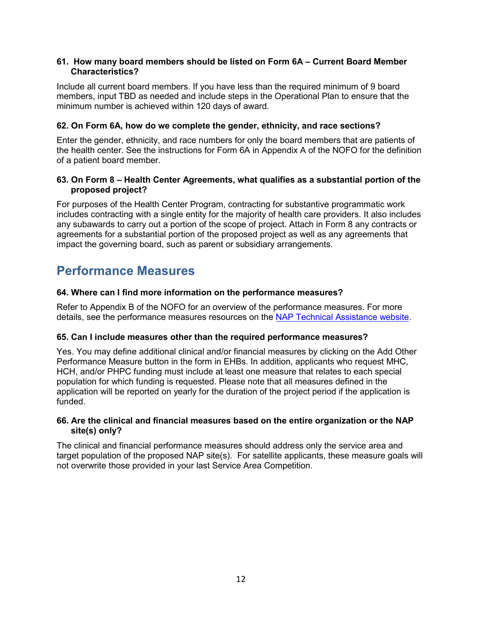#### **61. How many board members should be listed on Form 6A – Current Board Member Characteristics?**

Include all current board members. If you have less than the required minimum of 9 board members, input TBD as needed and include steps in the Operational Plan to ensure that the minimum number is achieved within 120 days of award.

## **62. On Form 6A, how do we complete the gender, ethnicity, and race sections?**

Enter the gender, ethnicity, and race numbers for only the board members that are patients of the health center. See the instructions for Form 6A in Appendix A of the NOFO for the definition of a patient board member.

#### **63. On Form 8 – Health Center Agreements, what qualifies as a substantial portion of the proposed project?**

For purposes of the Health Center Program, contracting for substantive programmatic work includes contracting with a single entity for the majority of health care providers. It also includes any subawards to carry out a portion of the scope of project. Attach in Form 8 any contracts or agreements for a substantial portion of the proposed project as well as any agreements that impact the governing board, such as parent or subsidiary arrangements.

## <span id="page-11-0"></span>**Performance Measures**

## **64. Where can I find more information on the performance measures?**

Refer to Appendix B of the NOFO for an overview of the performance measures. For more details, see the performance measures resources on the [NAP Technical Assistance website.](http://bphc.hrsa.gov/programopportunities/fundingopportunities/NAP/index.html)

#### **65. Can I include measures other than the required performance measures?**

Yes. You may define additional clinical and/or financial measures by clicking on the Add Other Performance Measure button in the form in EHBs. In addition, applicants who request MHC, HCH, and/or PHPC funding must include at least one measure that relates to each special population for which funding is requested. Please note that all measures defined in the application will be reported on yearly for the duration of the project period if the application is funded.

#### **66. Are the clinical and financial measures based on the entire organization or the NAP site(s) only?**

The clinical and financial performance measures should address only the service area and target population of the proposed NAP site(s). For satellite applicants, these measure goals will not overwrite those provided in your last Service Area Competition.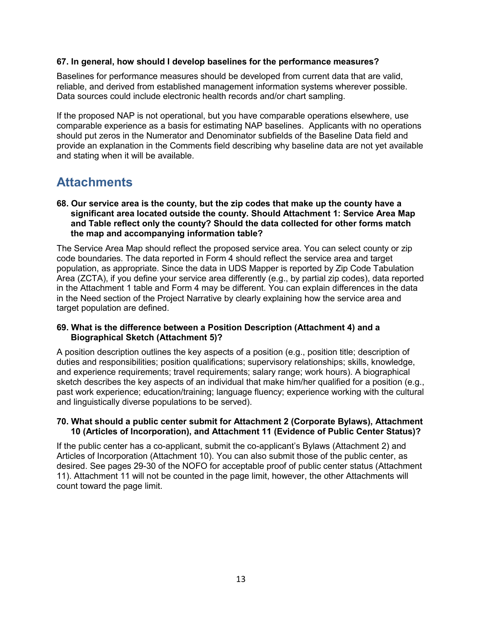#### **67. In general, how should I develop baselines for the performance measures?**

Baselines for performance measures should be developed from current data that are valid, reliable, and derived from established management information systems wherever possible. Data sources could include electronic health records and/or chart sampling.

If the proposed NAP is not operational, but you have comparable operations elsewhere, use comparable experience as a basis for estimating NAP baselines. Applicants with no operations should put zeros in the Numerator and Denominator subfields of the Baseline Data field and provide an explanation in the Comments field describing why baseline data are not yet available and stating when it will be available.

## <span id="page-12-0"></span>**Attachments**

#### **68. Our service area is the county, but the zip codes that make up the county have a significant area located outside the county. Should Attachment 1: Service Area Map and Table reflect only the county? Should the data collected for other forms match the map and accompanying information table?**

The Service Area Map should reflect the proposed service area. You can select county or zip code boundaries. The data reported in Form 4 should reflect the service area and target population, as appropriate. Since the data in UDS Mapper is reported by Zip Code Tabulation Area (ZCTA), if you define your service area differently (e.g., by partial zip codes), data reported in the Attachment 1 table and Form 4 may be different. You can explain differences in the data in the Need section of the Project Narrative by clearly explaining how the service area and target population are defined.

#### **69. What is the difference between a Position Description (Attachment 4) and a Biographical Sketch (Attachment 5)?**

A position description outlines the key aspects of a position (e.g., position title; description of duties and responsibilities; position qualifications; supervisory relationships; skills, knowledge, and experience requirements; travel requirements; salary range; work hours). A biographical sketch describes the key aspects of an individual that make him/her qualified for a position (e.g., past work experience; education/training; language fluency; experience working with the cultural and linguistically diverse populations to be served).

#### **70. What should a public center submit for Attachment 2 (Corporate Bylaws), Attachment 10 (Articles of Incorporation), and Attachment 11 (Evidence of Public Center Status)?**

If the public center has a co-applicant, submit the co-applicant's Bylaws (Attachment 2) and Articles of Incorporation (Attachment 10). You can also submit those of the public center, as desired. See pages 29-30 of the NOFO for acceptable proof of public center status (Attachment 11). Attachment 11 will not be counted in the page limit, however, the other Attachments will count toward the page limit.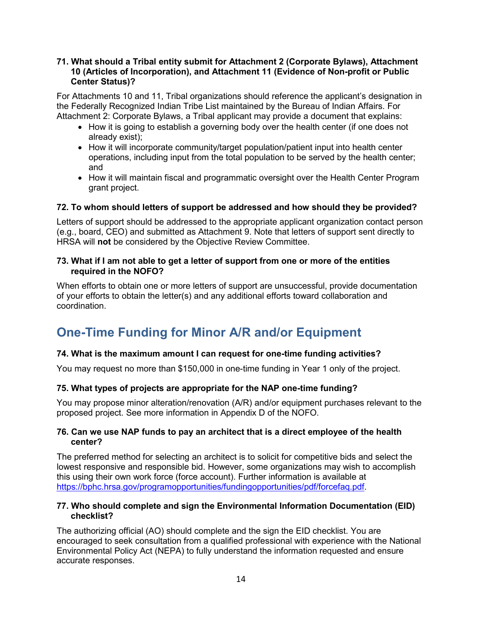#### **71. What should a Tribal entity submit for Attachment 2 (Corporate Bylaws), Attachment 10 (Articles of Incorporation), and Attachment 11 (Evidence of Non-profit or Public Center Status)?**

For Attachments 10 and 11, Tribal organizations should reference the applicant's designation in the Federally Recognized Indian Tribe List maintained by the Bureau of Indian Affairs. For Attachment 2: Corporate Bylaws, a Tribal applicant may provide a document that explains:

- How it is going to establish a governing body over the health center (if one does not already exist);
- How it will incorporate community/target population/patient input into health center operations, including input from the total population to be served by the health center; and
- How it will maintain fiscal and programmatic oversight over the Health Center Program grant project.

## **72. To whom should letters of support be addressed and how should they be provided?**

Letters of support should be addressed to the appropriate applicant organization contact person (e.g., board, CEO) and submitted as Attachment 9. Note that letters of support sent directly to HRSA will **not** be considered by the Objective Review Committee.

#### **73. What if I am not able to get a letter of support from one or more of the entities required in the NOFO?**

When efforts to obtain one or more letters of support are unsuccessful, provide documentation of your efforts to obtain the letter(s) and any additional efforts toward collaboration and coordination.

# <span id="page-13-0"></span>**One-Time Funding for Minor A/R and/or Equipment**

## **74. What is the maximum amount I can request for one-time funding activities?**

You may request no more than \$150,000 in one-time funding in Year 1 only of the project.

#### **75. What types of projects are appropriate for the NAP one-time funding?**

You may propose minor alteration/renovation (A/R) and/or equipment purchases relevant to the proposed project. See more information in Appendix D of the NOFO.

#### **76. Can we use NAP funds to pay an architect that is a direct employee of the health center?**

The preferred method for selecting an architect is to solicit for competitive bids and select the lowest responsive and responsible bid. However, some organizations may wish to accomplish this using their own work force (force account). Further information is available at [https://bphc.hrsa.gov/programopportunities/fundingopportunities/pdf/forcefaq.pdf.](https://bphc.hrsa.gov/programopportunities/fundingopportunities/pdf/forcefaq.pdf)

#### **77. Who should complete and sign the Environmental Information Documentation (EID) checklist?**

The authorizing official (AO) should complete and the sign the EID checklist. You are encouraged to seek consultation from a qualified professional with experience with the National Environmental Policy Act (NEPA) to fully understand the information requested and ensure accurate responses.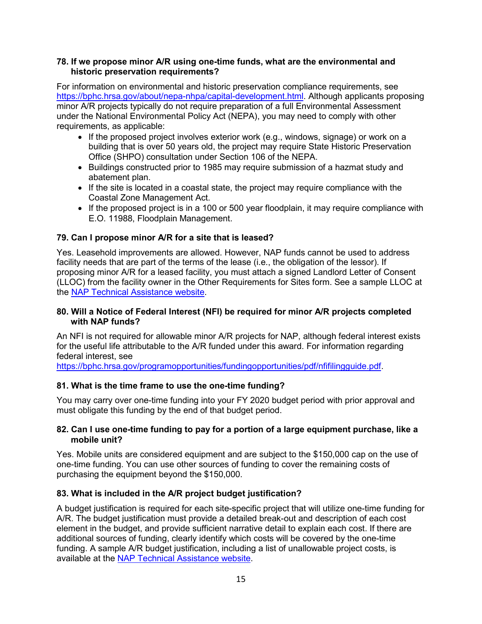#### **78. If we propose minor A/R using one-time funds, what are the environmental and historic preservation requirements?**

For information on environmental and historic preservation compliance requirements, see [https://bphc.hrsa.gov/about/nepa-nhpa/capital-development.html.](https://bphc.hrsa.gov/about/nepa-nhpa/capital-development.html) Although applicants proposing minor A/R projects typically do not require preparation of a full Environmental Assessment under the National Environmental Policy Act (NEPA), you may need to comply with other requirements, as applicable:

- If the proposed project involves exterior work (e.g., windows, signage) or work on a building that is over 50 years old, the project may require State Historic Preservation Office (SHPO) consultation under Section 106 of the NEPA.
- Buildings constructed prior to 1985 may require submission of a hazmat study and abatement plan.
- If the site is located in a coastal state, the project may require compliance with the Coastal Zone Management Act.
- If the proposed project is in a 100 or 500 year floodplain, it may require compliance with E.O. 11988, Floodplain Management.

## **79. Can I propose minor A/R for a site that is leased?**

Yes. Leasehold improvements are allowed. However, NAP funds cannot be used to address facility needs that are part of the terms of the lease (i.e., the obligation of the lessor). If proposing minor A/R for a leased facility, you must attach a signed Landlord Letter of Consent (LLOC) from the facility owner in the Other Requirements for Sites form. See a sample LLOC at the [NAP Technical Assistance website.](http://bphc.hrsa.gov/programopportunities/fundingopportunities/NAP/index.html)

#### **80. Will a Notice of Federal Interest (NFI) be required for minor A/R projects completed with NAP funds?**

An NFI is not required for allowable minor A/R projects for NAP, although federal interest exists for the useful life attributable to the A/R funded under this award. For information regarding federal interest, see

[https://bphc.hrsa.gov/programopportunities/fundingopportunities/pdf/nfifilingguide.pdf.](https://bphc.hrsa.gov/programopportunities/fundingopportunities/pdf/nfifilingguide.pdf)

## **81. What is the time frame to use the one-time funding?**

You may carry over one-time funding into your FY 2020 budget period with prior approval and must obligate this funding by the end of that budget period.

#### **82. Can I use one-time funding to pay for a portion of a large equipment purchase, like a mobile unit?**

Yes. Mobile units are considered equipment and are subject to the \$150,000 cap on the use of one-time funding. You can use other sources of funding to cover the remaining costs of purchasing the equipment beyond the \$150,000.

#### **83. What is included in the A/R project budget justification?**

A budget justification is required for each site-specific project that will utilize one-time funding for A/R. The budget justification must provide a detailed break-out and description of each cost element in the budget, and provide sufficient narrative detail to explain each cost. If there are additional sources of funding, clearly identify which costs will be covered by the one-time funding. A sample A/R budget justification, including a list of unallowable project costs, is available at the [NAP Technical Assistance website.](http://bphc.hrsa.gov/programopportunities/fundingopportunities/NAP/index.html)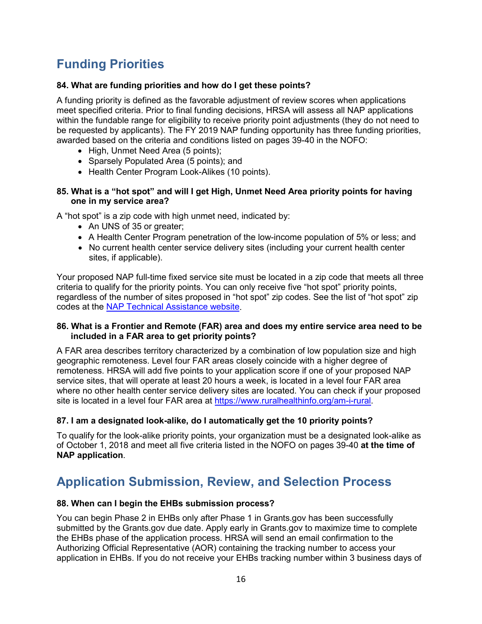# <span id="page-15-0"></span>**Funding Priorities**

## **84. What are funding priorities and how do I get these points?**

A funding priority is defined as the favorable adjustment of review scores when applications meet specified criteria. Prior to final funding decisions, HRSA will assess all NAP applications within the fundable range for eligibility to receive priority point adjustments (they do not need to be requested by applicants). The FY 2019 NAP funding opportunity has three funding priorities, awarded based on the criteria and conditions listed on pages 39-40 in the NOFO:

- High, Unmet Need Area (5 points);
- Sparsely Populated Area (5 points); and
- Health Center Program Look-Alikes (10 points).

#### **85. What is a "hot spot" and will I get High, Unmet Need Area priority points for having one in my service area?**

A "hot spot" is a zip code with high unmet need, indicated by:

- An UNS of 35 or greater:
- A Health Center Program penetration of the low-income population of 5% or less; and
- No current health center service delivery sites (including your current health center sites, if applicable).

Your proposed NAP full-time fixed service site must be located in a zip code that meets all three criteria to qualify for the priority points. You can only receive five "hot spot" priority points, regardless of the number of sites proposed in "hot spot" zip codes. See the list of "hot spot" zip codes at the [NAP Technical Assistance website.](http://bphc.hrsa.gov/programopportunities/fundingopportunities/NAP/index.html)

#### **86. What is a Frontier and Remote (FAR) area and does my entire service area need to be included in a FAR area to get priority points?**

A FAR area describes territory characterized by a combination of low population size and high geographic remoteness. Level four FAR areas closely coincide with a higher degree of remoteness. HRSA will add five points to your application score if one of your proposed NAP service sites, that will operate at least 20 hours a week, is located in a level four FAR area where no other health center service delivery sites are located. You can check if your proposed site is located in a level four FAR area at [https://www.ruralhealthinfo.org/am-i-rural.](https://www.ruralhealthinfo.org/am-i-rural)

## **87. I am a designated look-alike, do I automatically get the 10 priority points?**

To qualify for the look-alike priority points, your organization must be a designated look-alike as of October 1, 2018 and meet all five criteria listed in the NOFO on pages 39-40 **at the time of NAP application**.

## <span id="page-15-1"></span>**Application Submission, Review, and Selection Process**

#### **88. When can I begin the EHBs submission process?**

You can begin Phase 2 in EHBs only after Phase 1 in Grants.gov has been successfully submitted by the Grants.gov due date. Apply early in Grants.gov to maximize time to complete the EHBs phase of the application process. HRSA will send an email confirmation to the Authorizing Official Representative (AOR) containing the tracking number to access your application in EHBs. If you do not receive your EHBs tracking number within 3 business days of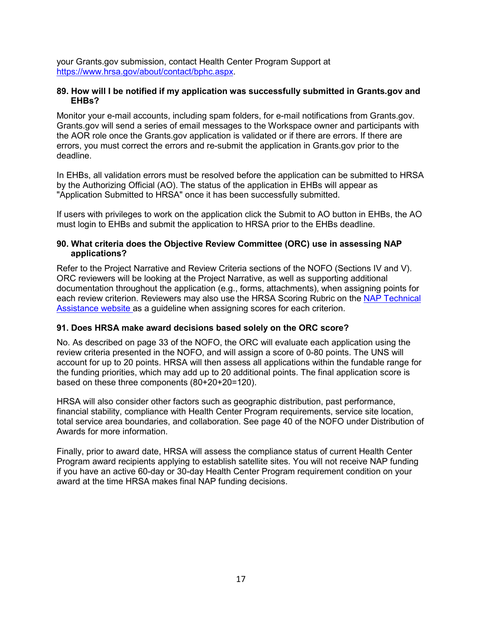your Grants.gov submission, contact Health Center Program Support at [https://www.hrsa.gov/about/contact/bphc.aspx.](https://www.hrsa.gov/about/contact/bphc.aspx)

#### **89. How will I be notified if my application was successfully submitted in Grants.gov and EHBs?**

Monitor your e-mail accounts, including spam folders, for e-mail notifications from Grants.gov. Grants.gov will send a series of email messages to the Workspace owner and participants with the AOR role once the Grants.gov application is validated or if there are errors. If there are errors, you must correct the errors and re-submit the application in Grants.gov prior to the deadline.

In EHBs, all validation errors must be resolved before the application can be submitted to HRSA by the Authorizing Official (AO). The status of the application in EHBs will appear as "Application Submitted to HRSA" once it has been successfully submitted.

If users with privileges to work on the application click the Submit to AO button in EHBs, the AO must login to EHBs and submit the application to HRSA prior to the EHBs deadline.

#### **90. What criteria does the Objective Review Committee (ORC) use in assessing NAP applications?**

Refer to the Project Narrative and Review Criteria sections of the NOFO (Sections IV and V). ORC reviewers will be looking at the Project Narrative, as well as supporting additional documentation throughout the application (e.g., forms, attachments), when assigning points for each review criterion. Reviewers may also use the HRSA Scoring Rubric on the [NAP Technical](http://bphc.hrsa.gov/programopportunities/fundingopportunities/NAP/index.html)  [Assistance website](http://bphc.hrsa.gov/programopportunities/fundingopportunities/NAP/index.html) as a guideline when assigning scores for each criterion.

#### **91. Does HRSA make award decisions based solely on the ORC score?**

No. As described on page 33 of the NOFO, the ORC will evaluate each application using the review criteria presented in the NOFO, and will assign a score of 0-80 points. The UNS will account for up to 20 points. HRSA will then assess all applications within the fundable range for the funding priorities, which may add up to 20 additional points. The final application score is based on these three components (80+20+20=120).

HRSA will also consider other factors such as geographic distribution, past performance, financial stability, compliance with Health Center Program requirements, service site location, total service area boundaries, and collaboration. See page 40 of the NOFO under Distribution of Awards for more information.

Finally, prior to award date, HRSA will assess the compliance status of current Health Center Program award recipients applying to establish satellite sites. You will not receive NAP funding if you have an active 60-day or 30-day Health Center Program requirement condition on your award at the time HRSA makes final NAP funding decisions.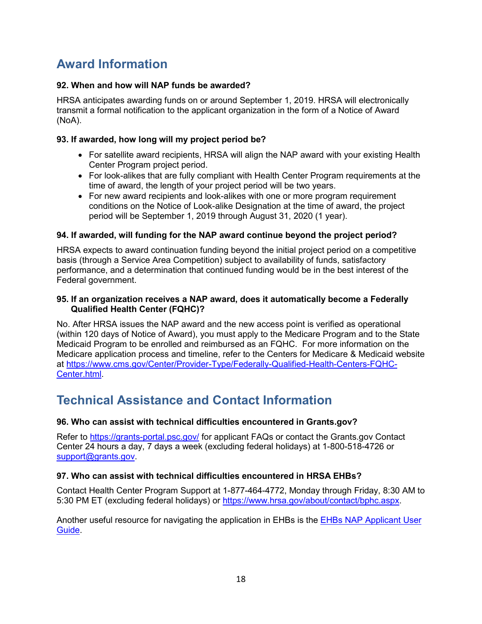# <span id="page-17-0"></span>**Award Information**

## **92. When and how will NAP funds be awarded?**

HRSA anticipates awarding funds on or around September 1, 2019. HRSA will electronically transmit a formal notification to the applicant organization in the form of a Notice of Award (NoA).

## **93. If awarded, how long will my project period be?**

- For satellite award recipients, HRSA will align the NAP award with your existing Health Center Program project period.
- For look-alikes that are fully compliant with Health Center Program requirements at the time of award, the length of your project period will be two years.
- For new award recipients and look-alikes with one or more program requirement conditions on the Notice of Look-alike Designation at the time of award, the project period will be September 1, 2019 through August 31, 2020 (1 year).

#### **94. If awarded, will funding for the NAP award continue beyond the project period?**

HRSA expects to award continuation funding beyond the initial project period on a competitive basis (through a Service Area Competition) subject to availability of funds, satisfactory performance, and a determination that continued funding would be in the best interest of the Federal government.

#### **95. If an organization receives a NAP award, does it automatically become a Federally Qualified Health Center (FQHC)?**

No. After HRSA issues the NAP award and the new access point is verified as operational (within 120 days of Notice of Award), you must apply to the Medicare Program and to the State Medicaid Program to be enrolled and reimbursed as an FQHC. For more information on the Medicare application process and timeline, refer to the Centers for Medicare & Medicaid website at [https://www.cms.gov/Center/Provider-Type/Federally-Qualified-Health-Centers-FQHC-](https://www.cms.gov/Center/Provider-Type/Federally-Qualified-Health-Centers-FQHC-Center.html)[Center.html.](https://www.cms.gov/Center/Provider-Type/Federally-Qualified-Health-Centers-FQHC-Center.html)

## <span id="page-17-1"></span>**Technical Assistance and Contact Information**

## **96. Who can assist with technical difficulties encountered in Grants.gov?**

Refer to <https://grants-portal.psc.gov/> for applicant FAQs or contact the Grants.gov Contact Center 24 hours a day, 7 days a week (excluding federal holidays) at 1-800-518-4726 or [support@grants.gov.](mailto:support@grants.gov)

#### **97. Who can assist with technical difficulties encountered in HRSA EHBs?**

Contact Health Center Program Support at 1-877-464-4772, Monday through Friday, 8:30 AM to 5:30 PM ET (excluding federal holidays) or [https://www.hrsa.gov/about/contact/bphc.aspx.](https://www.hrsa.gov/about/contact/bphc.aspx)

Another useful resource for navigating the application in EHBs is the **EHBs NAP Applicant User** [Guide.](https://bphc.hrsa.gov/programopportunities/fundingopportunities/NAP/fy2019-nap-user-guide_.pdf)